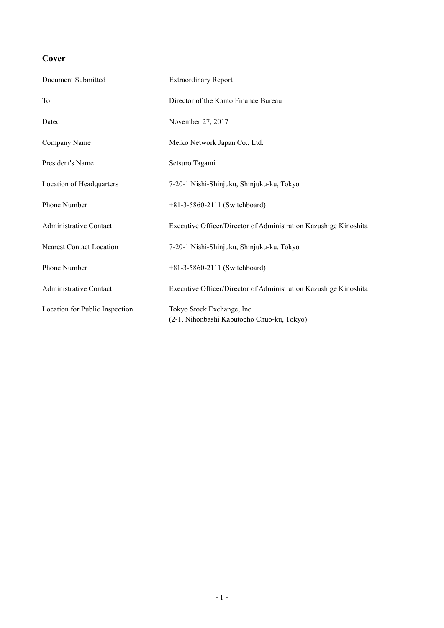## **Cover**

| Document Submitted              | <b>Extraordinary Report</b>                                              |
|---------------------------------|--------------------------------------------------------------------------|
| To                              | Director of the Kanto Finance Bureau                                     |
| Dated                           | November 27, 2017                                                        |
| Company Name                    | Meiko Network Japan Co., Ltd.                                            |
| President's Name                | Setsuro Tagami                                                           |
| Location of Headquarters        | 7-20-1 Nishi-Shinjuku, Shinjuku-ku, Tokyo                                |
| Phone Number                    | +81-3-5860-2111 (Switchboard)                                            |
| <b>Administrative Contact</b>   | Executive Officer/Director of Administration Kazushige Kinoshita         |
| <b>Nearest Contact Location</b> | 7-20-1 Nishi-Shinjuku, Shinjuku-ku, Tokyo                                |
| Phone Number                    | +81-3-5860-2111 (Switchboard)                                            |
| <b>Administrative Contact</b>   | Executive Officer/Director of Administration Kazushige Kinoshita         |
| Location for Public Inspection  | Tokyo Stock Exchange, Inc.<br>(2-1, Nihonbashi Kabutocho Chuo-ku, Tokyo) |